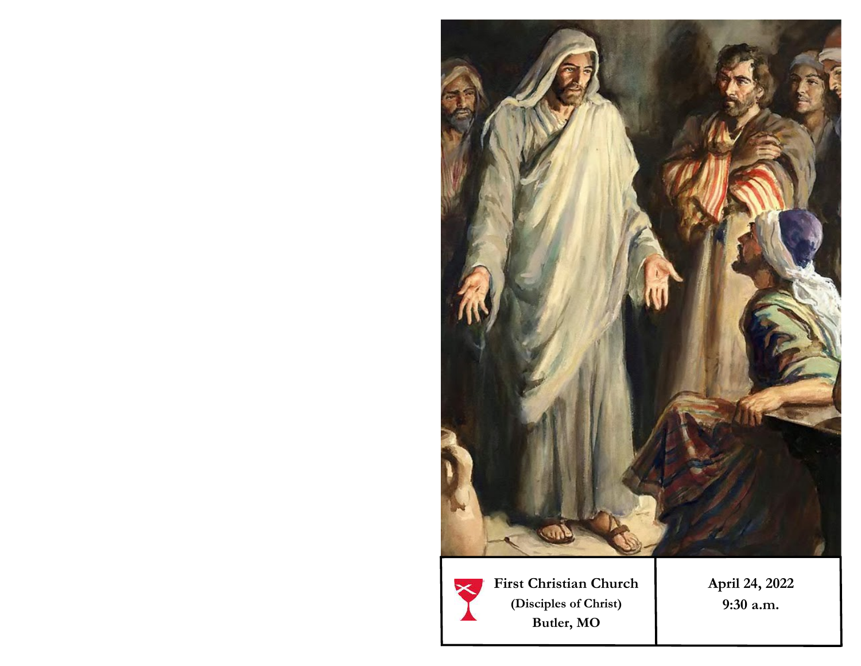

**First Christian Church (Disciples of Christ) Butler, MO** 

**April 24, 2022 9:30 a.m.**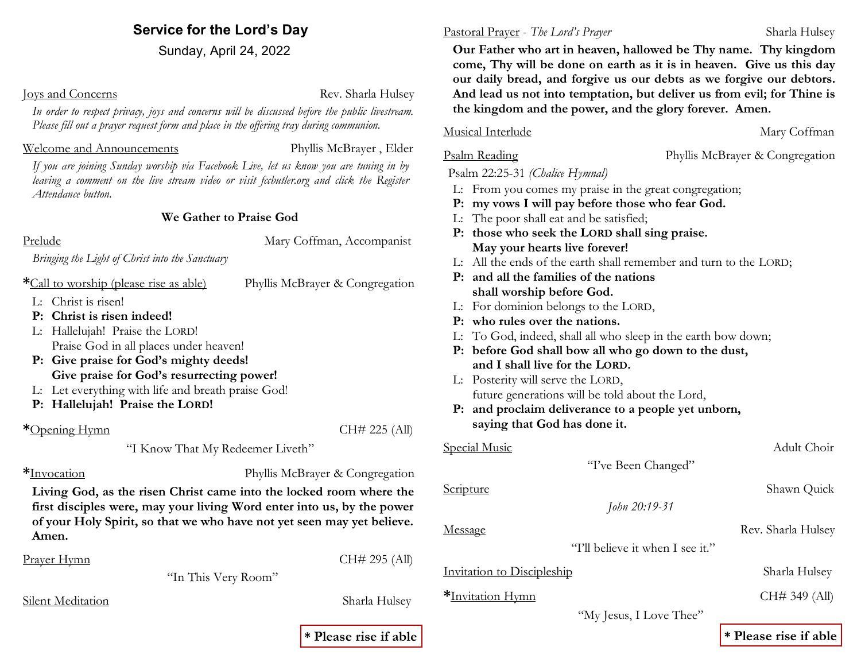### **Service for the Lord's Day**

Sunday, April 24, 2022

**Joys and Concerns Rev.** Sharla Hulsey

*In order to respect privacy, joys and concerns will be discussed before the public livestream. Please fill out a prayer request form and place in the offering tray during communion.* 

#### Welcome and Announcements Phyllis McBrayer , Elder

*If you are joining Sunday worship via Facebook Live, let us know you are tuning in by*  leaving a comment on the live stream video or visit fccbutler.org and click the Register *Attendance button.* 

### **We Gather to Praise God**

Prelude Mary Coffman, Accompanist

*Bringing the Light of Christ into the Sanctuary*

**\***Call to worship (please rise as able) Phyllis McBrayer & Congregation

- L: Christ is risen!
- **P: Christ is risen indeed!**
- L: Hallelujah! Praise the LORD! Praise God in all places under heaven!
- **P: Give praise for God's mighty deeds! Give praise for God's resurrecting power!**
- L: Let everything with life and breath praise God!
- **P: Hallelujah! Praise the LORD!**

### **\***Opening Hymn CH# 225 (All)

"I Know That My Redeemer Liveth"

**\***Invocation Phyllis McBrayer & Congregation

**Living God, as the risen Christ came into the locked room where the first disciples were, may your living Word enter into us, by the power of your Holy Spirit, so that we who have not yet seen may yet believe. Amen.**

"In This Very Room"

Silent Meditation Sharla Hulsey

#### Pastoral Prayer - *The Lord's Prayer* Sharla Hulsey

 **Our Father who art in heaven, hallowed be Thy name. Thy kingdom come, Thy will be done on earth as it is in heaven. Give us this day our daily bread, and forgive us our debts as we forgive our debtors. And lead us not into temptation, but deliver us from evil; for Thine is the kingdom and the power, and the glory forever. Amen.**

### Musical Interlude Mary Coffman

Psalm Reading Phyllis McBrayer & Congregation

#### Psalm 22:25-31 *(Chalice Hymnal)*

- L: From you comes my praise in the great congregation;
- **P: my vows I will pay before those who fear God.**
- L: The poor shall eat and be satisfied;
- **P: those who seek the LORD shall sing praise. May your hearts live forever!**
- L: All the ends of the earth shall remember and turn to the LORD;
- **P: and all the families of the nations shall worship before God.**
- L: For dominion belongs to the LORD,
- **P: who rules over the nations.**
- L: To God, indeed, shall all who sleep in the earth bow down;
- **P: before God shall bow all who go down to the dust, and I shall live for the LORD.**
- L: Posterity will serve the LORD, future generations will be told about the Lord,
- **P: and proclaim deliverance to a people yet unborn, saying that God has done it.**

### Special Music Adult Choir

"I've Been Changed"

*John 20:19-31*

#### Scripture Shawn Quick

"I'll believe it when I see it."

**Invitation to Discipleship** Sharla Hulsey

"My Jesus, I Love Thee"

### **\* Please rise if able \* Please rise if able**

# Message Rev. Sharla Hulsey

**\***Invitation Hymn CH# 349 (All)

Prayer Hymn CH# 295 (All)